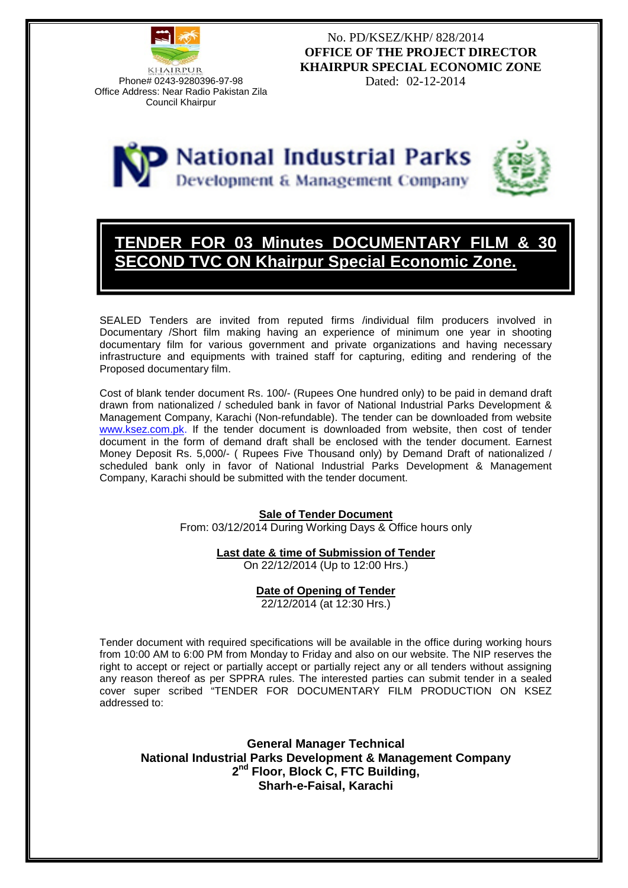

No. PD/KSEZ/KHP/ 828/2014 **OFFICE OF THE PROJECT DIRECTOR KHAIRPUR SPECIAL ECONOMIC ZONE**





# **TENDER FOR 03 Minutes DOCUMENTARY FILM & 30 VC ON Khairpur Special Economic Zone.**

SEALED Tenders are invited from reputed firms /individual film producers involved in Documentary /Short film making having an experience of minimum one year in shooting documentary film for various government and private organizations and having necessary infrastructure and equipments with trained staff for capturing, editing and rendering of the Proposed documentary film.

Cost of blank tender document Rs. 100/- (Rupees One hundred only) to be paid in demand draft drawn from nationalized / scheduled bank in favor of National Industrial Parks Development & Management Company, Karachi (Non-refundable). The tender can be downloaded from website www.ksez.com.pk. If the tender document is downloaded from website, then cost of tender document in the form of demand draft shall be enclosed with the tender document. Earnest Money Deposit Rs. 5,000/- ( Rupees Five Thousand only) by Demand Draft of nationalized / scheduled bank only in favor of National Industrial Parks Development & Management Company, Karachi should be submitted with the tender document.

#### **Sale of Tender Document**

From: 03/12/2014 During Working Days & Office hours only

#### **Last date & time of Submission of Tender**

On 22/12/2014 (Up to 12:00 Hrs.)

#### **Date of Opening of Tender**

22/12/2014 (at 12:30 Hrs.)

Tender document with required specifications will be available in the office during working hours from 10:00 AM to 6:00 PM from Monday to Friday and also on our website. The NIP reserves the right to accept or reject or partially accept or partially reject any or all tenders without assigning any reason thereof as per SPPRA rules. The interested parties can submit tender in a sealed cover super scribed "TENDER FOR DOCUMENTARY FILM PRODUCTION ON KSEZ addressed to:

**General Manager Technical National Industrial Parks Development & Management Company 2nd Floor, Block C, FTC Building, Sharh-e-Faisal, Karachi**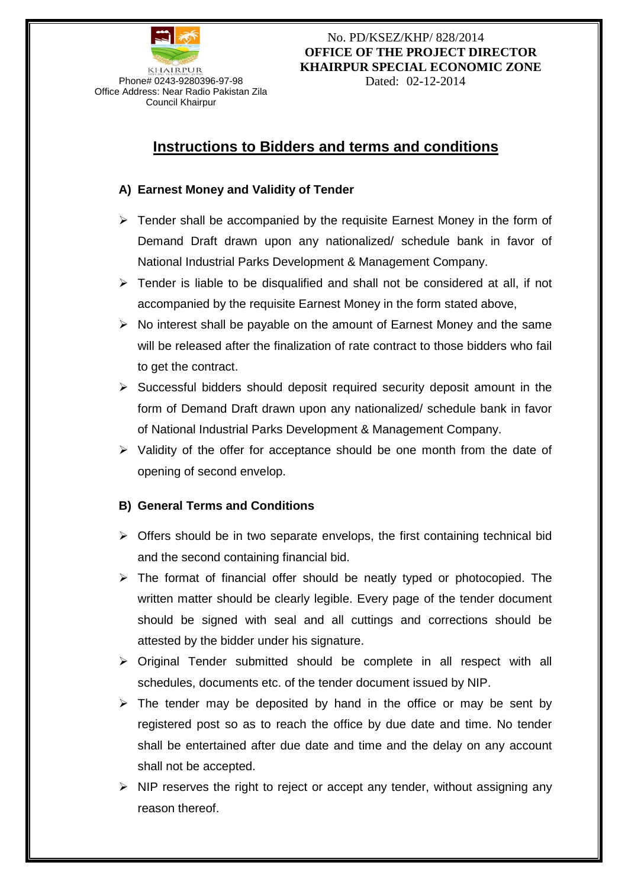

### No. PD/KSEZ/KHP/ 828/2014 **OFFICE OF THE PROJECT DIRECTOR KHAIRPUR SPECIAL ECONOMIC ZONE**

## **Instructions to Bidders and terms and conditions**

#### **A) Earnest Money and Validity of Tender**

- $\triangleright$  Tender shall be accompanied by the requisite Earnest Money in the form of Demand Draft drawn upon any nationalized/ schedule bank in favor of National Industrial Parks Development & Management Company.
- $\triangleright$  Tender is liable to be disqualified and shall not be considered at all, if not accompanied by the requisite Earnest Money in the form stated above,
- $\triangleright$  No interest shall be payable on the amount of Earnest Money and the same will be released after the finalization of rate contract to those bidders who fail to get the contract.
- $\triangleright$  Successful bidders should deposit required security deposit amount in the form of Demand Draft drawn upon any nationalized/ schedule bank in favor of National Industrial Parks Development & Management Company.
- $\triangleright$  Validity of the offer for acceptance should be one month from the date of opening of second envelop.

#### **B) General Terms and Conditions**

- $\triangleright$  Offers should be in two separate envelops, the first containing technical bid and the second containing financial bid.
- $\triangleright$  The format of financial offer should be neatly typed or photocopied. The written matter should be clearly legible. Every page of the tender document should be signed with seal and all cuttings and corrections should be attested by the bidder under his signature.
- $\triangleright$  Original Tender submitted should be complete in all respect with all schedules, documents etc. of the tender document issued by NIP.
- $\triangleright$  The tender may be deposited by hand in the office or may be sent by registered post so as to reach the office by due date and time. No tender shall be entertained after due date and time and the delay on any account shall not be accepted.
- $\triangleright$  NIP reserves the right to reject or accept any tender, without assigning any reason thereof.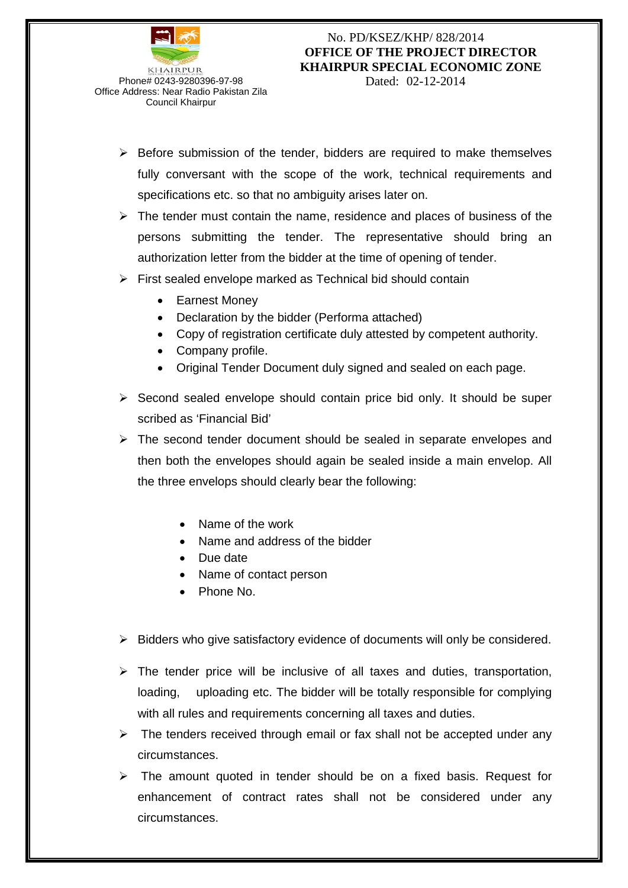

Council Khairpur

### No. PD/KSEZ/KHP/ 828/2014 **OFFICE OF THE PROJECT DIRECTOR KHAIRPUR SPECIAL ECONOMIC ZONE**

- $\triangleright$  Before submission of the tender, bidders are required to make themselves fully conversant with the scope of the work, technical requirements and specifications etc. so that no ambiguity arises later on.
- $\triangleright$  The tender must contain the name, residence and places of business of the persons submitting the tender. The representative should bring an authorization letter from the bidder at the time of opening of tender.
- $\triangleright$  First sealed envelope marked as Technical bid should contain
	- Earnest Money
	- Declaration by the bidder (Performa attached)
	- Copy of registration certificate duly attested by competent authority.
	- Company profile.
	- Original Tender Document duly signed and sealed on each page.
- $\triangleright$  Second sealed envelope should contain price bid only. It should be super scribed as 'Financial Bid'
- $\triangleright$  The second tender document should be sealed in separate envelopes and then both the envelopes should again be sealed inside a main envelop. All the three envelops should clearly bear the following:
	- Name of the work
	- Name and address of the bidder
	- Due date
	- Name of contact person
	- Phone No.
- $\triangleright$  Bidders who give satisfactory evidence of documents will only be considered.
- $\triangleright$  The tender price will be inclusive of all taxes and duties, transportation, loading, uploading etc. The bidder will be totally responsible for complying with all rules and requirements concerning all taxes and duties.
- $\triangleright$  The tenders received through email or fax shall not be accepted under any circumstances.
- $\triangleright$  The amount quoted in tender should be on a fixed basis. Request for enhancement of contract rates shall not be considered under any circumstances.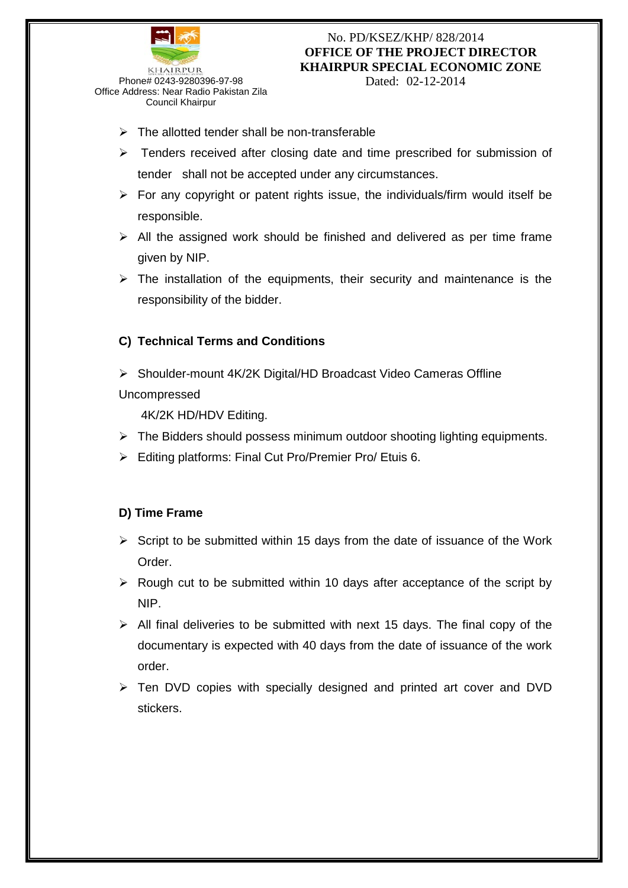

#### No. PD/KSEZ/KHP/ 828/2014 **OFFICE OF THE PROJECT DIRECTOR KHAIRPUR SPECIAL ECONOMIC ZONE**

- $\triangleright$  The allotted tender shall be non-transferable
- $\triangleright$  Tenders received after closing date and time prescribed for submission of tender shall not be accepted under any circumstances.
- $\triangleright$  For any copyright or patent rights issue, the individuals/firm would itself be responsible.
- $\triangleright$  All the assigned work should be finished and delivered as per time frame given by NIP.
- $\triangleright$  The installation of the equipments, their security and maintenance is the responsibility of the bidder.

### **C) Technical Terms and Conditions**

▶ Shoulder-mount 4K/2K Digital/HD Broadcast Video Cameras Offline Uncompressed

4K/2K HD/HDV Editing.

- $\triangleright$  The Bidders should possess minimum outdoor shooting lighting equipments.
- Editing platforms: Final Cut Pro/Premier Pro/ Etuis 6.

#### **D) Time Frame**

- $\triangleright$  Script to be submitted within 15 days from the date of issuance of the Work Order.
- $\triangleright$  Rough cut to be submitted within 10 days after acceptance of the script by NIP.
- $\triangleright$  All final deliveries to be submitted with next 15 days. The final copy of the documentary is expected with 40 days from the date of issuance of the work order.
- $\triangleright$  Ten DVD copies with specially designed and printed art cover and DVD stickers.